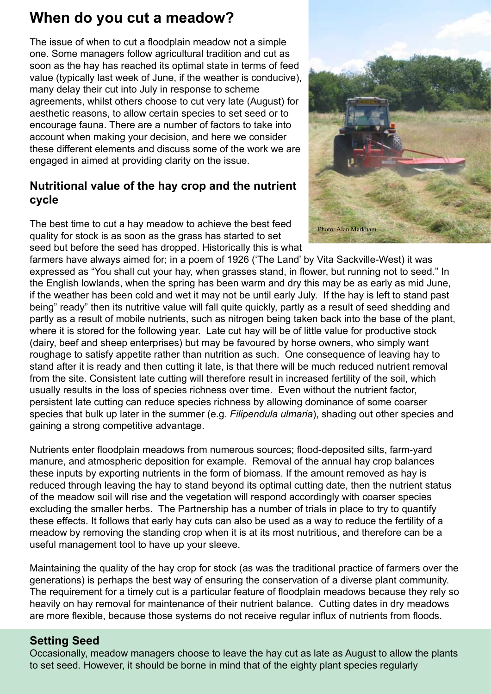# **When do you cut a meadow?**

The issue of when to cut a floodplain meadow not a simple one. Some managers follow agricultural tradition and cut as soon as the hay has reached its optimal state in terms of feed value (typically last week of June, if the weather is conducive), many delay their cut into July in response to scheme agreements, whilst others choose to cut very late (August) for aesthetic reasons, to allow certain species to set seed or to encourage fauna. There are a number of factors to take into account when making your decision, and here we consider these different elements and discuss some of the work we are engaged in aimed at providing clarity on the issue.

# **Nutritional value of the hay crop and the nutrient cycle**

The best time to cut a hay meadow to achieve the best feed quality for stock is as soon as the grass has started to set seed but before the seed has dropped. Historically this is what

farmers have always aimed for; in a poem of 1926 ('The Land' by Vita Sackville-West) it was expressed as "You shall cut your hay, when grasses stand, in flower, but running not to seed." In the English lowlands, when the spring has been warm and dry this may be as early as mid June, if the weather has been cold and wet it may not be until early July. If the hay is left to stand past being" ready" then its nutritive value will fall quite quickly, partly as a result of seed shedding and partly as a result of mobile nutrients, such as nitrogen being taken back into the base of the plant, where it is stored for the following year. Late cut hay will be of little value for productive stock (dairy, beef and sheep enterprises) but may be favoured by horse owners, who simply want roughage to satisfy appetite rather than nutrition as such. One consequence of leaving hay to stand after it is ready and then cutting it late, is that there will be much reduced nutrient removal from the site. Consistent late cutting will therefore result in increased fertility of the soil, which usually results in the loss of species richness over time. Even without the nutrient factor, persistent late cutting can reduce species richness by allowing dominance of some coarser species that bulk up later in the summer (e.g. *Filipendula ulmaria*), shading out other species and gaining a strong competitive advantage.

Nutrients enter floodplain meadows from numerous sources; flood-deposited silts, farm-yard manure, and atmospheric deposition for example. Removal of the annual hay crop balances these inputs by exporting nutrients in the form of biomass. If the amount removed as hay is reduced through leaving the hay to stand beyond its optimal cutting date, then the nutrient status of the meadow soil will rise and the vegetation will respond accordingly with coarser species excluding the smaller herbs. The Partnership has a number of trials in place to try to quantify these effects. It follows that early hay cuts can also be used as a way to reduce the fertility of a meadow by removing the standing crop when it is at its most nutritious, and therefore can be a useful management tool to have up your sleeve.

Maintaining the quality of the hay crop for stock (as was the traditional practice of farmers over the generations) is perhaps the best way of ensuring the conservation of a diverse plant community. The requirement for a timely cut is a particular feature of floodplain meadows because they rely so heavily on hay removal for maintenance of their nutrient balance. Cutting dates in dry meadows are more flexible, because those systems do not receive regular influx of nutrients from floods.

### **Setting Seed**

Occasionally, meadow managers choose to leave the hay cut as late as August to allow the plants to set seed. However, it should be borne in mind that of the eighty plant species regularly

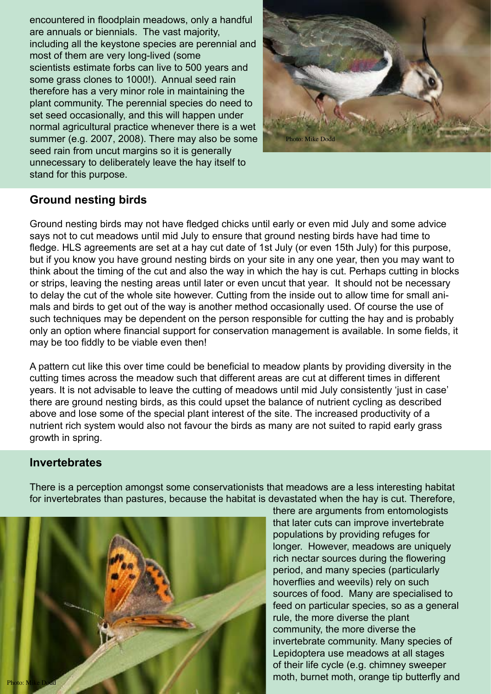encountered in floodplain meadows, only a handful are annuals or biennials. The vast majority, including all the keystone species are perennial and most of them are very long-lived (some scientists estimate forbs can live to 500 years and some grass clones to 1000!). Annual seed rain therefore has a very minor role in maintaining the plant community. The perennial species do need to set seed occasionally, and this will happen under normal agricultural practice whenever there is a wet summer (e.g. 2007, 2008). There may also be some seed rain from uncut margins so it is generally unnecessary to deliberately leave the hay itself to stand for this purpose.



#### **Ground nesting birds**

Ground nesting birds may not have fledged chicks until early or even mid July and some advice says not to cut meadows until mid July to ensure that ground nesting birds have had time to fledge. HLS agreements are set at a hay cut date of 1st July (or even 15th July) for this purpose, but if you know you have ground nesting birds on your site in any one year, then you may want to think about the timing of the cut and also the way in which the hay is cut. Perhaps cutting in blocks or strips, leaving the nesting areas until later or even uncut that year. It should not be necessary to delay the cut of the whole site however. Cutting from the inside out to allow time for small animals and birds to get out of the way is another method occasionally used. Of course the use of such techniques may be dependent on the person responsible for cutting the hay and is probably only an option where financial support for conservation management is available. In some fields, it may be too fiddly to be viable even then!

A pattern cut like this over time could be beneficial to meadow plants by providing diversity in the cutting times across the meadow such that different areas are cut at different times in different years. It is not advisable to leave the cutting of meadows until mid July consistently 'just in case' there are ground nesting birds, as this could upset the balance of nutrient cycling as described above and lose some of the special plant interest of the site. The increased productivity of a nutrient rich system would also not favour the birds as many are not suited to rapid early grass growth in spring.

#### **Invertebrates**



There is a perception amongst some conservationists that meadows are a less interesting habitat for invertebrates than pastures, because the habitat is devastated when the hay is cut. Therefore,

> there are arguments from entomologists that later cuts can improve invertebrate populations by providing refuges for longer. However, meadows are uniquely rich nectar sources during the flowering period, and many species (particularly hoverflies and weevils) rely on such sources of food. Many are specialised to feed on particular species, so as a general rule, the more diverse the plant community, the more diverse the invertebrate community. Many species of Lepidoptera use meadows at all stages of their life cycle (e.g. chimney sweeper moth, burnet moth, orange tip butterfly and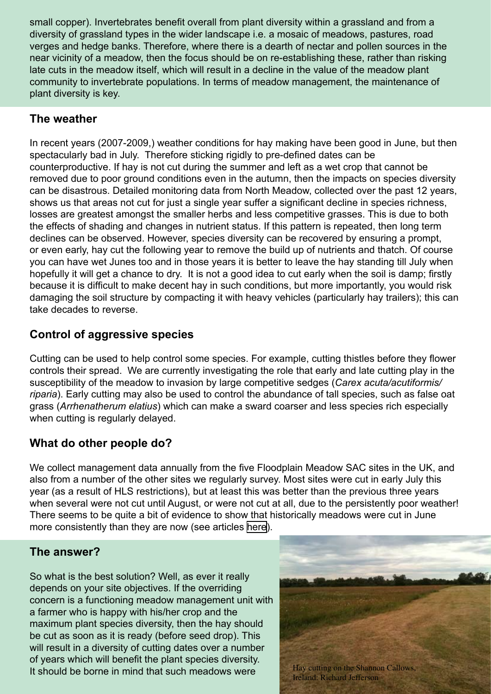small copper). Invertebrates benefit overall from plant diversity within a grassland and from a diversity of grassland types in the wider landscape i.e. a mosaic of meadows, pastures, road verges and hedge banks. Therefore, where there is a dearth of nectar and pollen sources in the near vicinity of a meadow, then the focus should be on re-establishing these, rather than risking late cuts in the meadow itself, which will result in a decline in the value of the meadow plant community to invertebrate populations. In terms of meadow management, the maintenance of plant diversity is key.

## **The weather**

In recent years (2007-2009,) weather conditions for hay making have been good in June, but then spectacularly bad in July. Therefore sticking rigidly to pre-defined dates can be counterproductive. If hay is not cut during the summer and left as a wet crop that cannot be removed due to poor ground conditions even in the autumn, then the impacts on species diversity can be disastrous. Detailed monitoring data from North Meadow, collected over the past 12 years, shows us that areas not cut for just a single year suffer a significant decline in species richness, losses are greatest amongst the smaller herbs and less competitive grasses. This is due to both the effects of shading and changes in nutrient status. If this pattern is repeated, then long term declines can be observed. However, species diversity can be recovered by ensuring a prompt, or even early, hay cut the following year to remove the build up of nutrients and thatch. Of course you can have wet Junes too and in those years it is better to leave the hay standing till July when hopefully it will get a chance to dry. It is not a good idea to cut early when the soil is damp; firstly because it is difficult to make decent hay in such conditions, but more importantly, you would risk damaging the soil structure by compacting it with heavy vehicles (particularly hay trailers); this can take decades to reverse.

# **Control of aggressive species**

Cutting can be used to help control some species. For example, cutting thistles before they flower controls their spread. We are currently investigating the role that early and late cutting play in the susceptibility of the meadow to invasion by large competitive sedges (*Carex acuta/acutiformis/ riparia*). Early cutting may also be used to control the abundance of tall species, such as false oat grass (*Arrhenatherum elatius*) which can make a sward coarser and less species rich especially when cutting is regularly delayed.

# **What do other people do?**

We collect management data annually from the five Floodplain Meadow SAC sites in the UK, and also from a number of the other sites we regularly survey. Most sites were cut in early July this year (as a result of HLS restrictions), but at least this was better than the previous three years when several were not cut until August, or were not cut at all, due to the persistently poor weather! There seems to be quite a bit of evidence to show that historically meadows were cut in June more consistently than they are now (see articles [her](http://www.floodplainmeadows.org.uk/content/social-and-cultural-history)e).

### **The answer?**

So what is the best solution? Well, as ever it really depends on your site objectives. If the overriding concern is a functioning meadow management unit with a farmer who is happy with his/her crop and the maximum plant species diversity, then the hay should be cut as soon as it is ready (before seed drop). This will result in a diversity of cutting dates over a number of years which will benefit the plant species diversity. It should be borne in mind that such meadows were Hay cutting on the Shannon Callows,